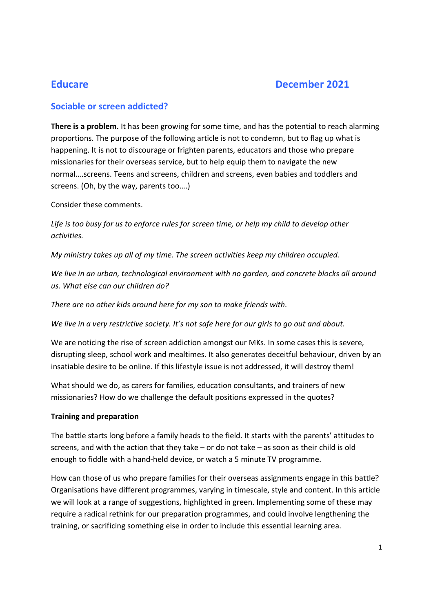# Educare December 2021

## Sociable or screen addicted?

There is a problem. It has been growing for some time, and has the potential to reach alarming proportions. The purpose of the following article is not to condemn, but to flag up what is happening. It is not to discourage or frighten parents, educators and those who prepare missionaries for their overseas service, but to help equip them to navigate the new normal….screens. Teens and screens, children and screens, even babies and toddlers and screens. (Oh, by the way, parents too….)

Consider these comments.

Life is too busy for us to enforce rules for screen time, or help my child to develop other activities.

My ministry takes up all of my time. The screen activities keep my children occupied.

We live in an urban, technological environment with no garden, and concrete blocks all around us. What else can our children do?

There are no other kids around here for my son to make friends with.

We live in a very restrictive society. It's not safe here for our girls to go out and about.

We are noticing the rise of screen addiction amongst our MKs. In some cases this is severe, disrupting sleep, school work and mealtimes. It also generates deceitful behaviour, driven by an insatiable desire to be online. If this lifestyle issue is not addressed, it will destroy them!

What should we do, as carers for families, education consultants, and trainers of new missionaries? How do we challenge the default positions expressed in the quotes?

### Training and preparation

The battle starts long before a family heads to the field. It starts with the parents' attitudes to screens, and with the action that they take – or do not take – as soon as their child is old enough to fiddle with a hand-held device, or watch a 5 minute TV programme.

How can those of us who prepare families for their overseas assignments engage in this battle? Organisations have different programmes, varying in timescale, style and content. In this article we will look at a range of suggestions, highlighted in green. Implementing some of these may require a radical rethink for our preparation programmes, and could involve lengthening the training, or sacrificing something else in order to include this essential learning area.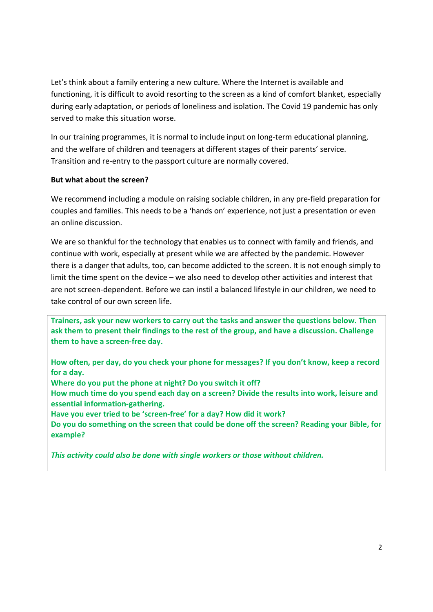Let's think about a family entering a new culture. Where the Internet is available and functioning, it is difficult to avoid resorting to the screen as a kind of comfort blanket, especially during early adaptation, or periods of loneliness and isolation. The Covid 19 pandemic has only served to make this situation worse.

In our training programmes, it is normal to include input on long-term educational planning, and the welfare of children and teenagers at different stages of their parents' service. Transition and re-entry to the passport culture are normally covered.

#### But what about the screen?

We recommend including a module on raising sociable children, in any pre-field preparation for couples and families. This needs to be a 'hands on' experience, not just a presentation or even an online discussion.

We are so thankful for the technology that enables us to connect with family and friends, and continue with work, especially at present while we are affected by the pandemic. However there is a danger that adults, too, can become addicted to the screen. It is not enough simply to limit the time spent on the device – we also need to develop other activities and interest that are not screen-dependent. Before we can instil a balanced lifestyle in our children, we need to take control of our own screen life.

Trainers, ask your new workers to carry out the tasks and answer the questions below. Then ask them to present their findings to the rest of the group, and have a discussion. Challenge them to have a screen-free day.

How often, per day, do you check your phone for messages? If you don't know, keep a record for a day.

Where do you put the phone at night? Do you switch it off?

How much time do you spend each day on a screen? Divide the results into work, leisure and essential information-gathering.

Have you ever tried to be 'screen-free' for a day? How did it work?

Do you do something on the screen that could be done off the screen? Reading your Bible, for example?

This activity could also be done with single workers or those without children.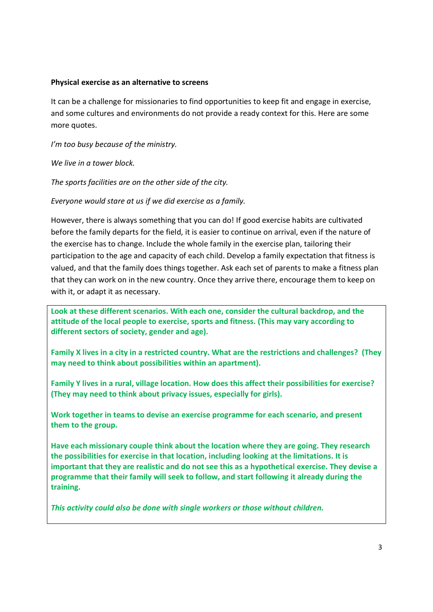#### Physical exercise as an alternative to screens

It can be a challenge for missionaries to find opportunities to keep fit and engage in exercise, and some cultures and environments do not provide a ready context for this. Here are some more quotes.

I'm too busy because of the ministry.

We live in a tower block.

The sports facilities are on the other side of the city.

Everyone would stare at us if we did exercise as a family.

However, there is always something that you can do! If good exercise habits are cultivated before the family departs for the field, it is easier to continue on arrival, even if the nature of the exercise has to change. Include the whole family in the exercise plan, tailoring their participation to the age and capacity of each child. Develop a family expectation that fitness is valued, and that the family does things together. Ask each set of parents to make a fitness plan that they can work on in the new country. Once they arrive there, encourage them to keep on with it, or adapt it as necessary.

Look at these different scenarios. With each one, consider the cultural backdrop, and the attitude of the local people to exercise, sports and fitness. (This may vary according to different sectors of society, gender and age).

Family X lives in a city in a restricted country. What are the restrictions and challenges? (They may need to think about possibilities within an apartment).

Family Y lives in a rural, village location. How does this affect their possibilities for exercise? (They may need to think about privacy issues, especially for girls).

Work together in teams to devise an exercise programme for each scenario, and present them to the group.

Have each missionary couple think about the location where they are going. They research the possibilities for exercise in that location, including looking at the limitations. It is important that they are realistic and do not see this as a hypothetical exercise. They devise a programme that their family will seek to follow, and start following it already during the training.

This activity could also be done with single workers or those without children.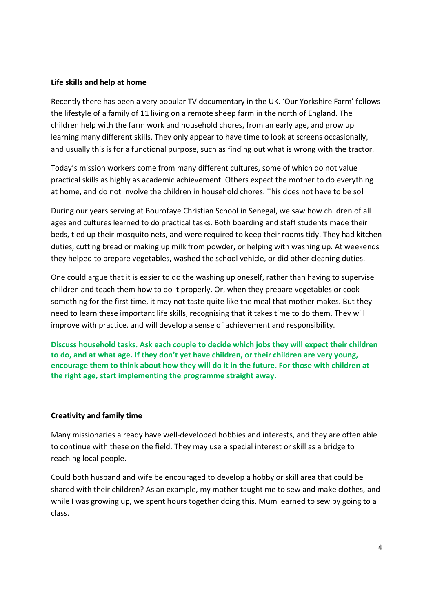#### Life skills and help at home

Recently there has been a very popular TV documentary in the UK. 'Our Yorkshire Farm' follows the lifestyle of a family of 11 living on a remote sheep farm in the north of England. The children help with the farm work and household chores, from an early age, and grow up learning many different skills. They only appear to have time to look at screens occasionally, and usually this is for a functional purpose, such as finding out what is wrong with the tractor.

Today's mission workers come from many different cultures, some of which do not value practical skills as highly as academic achievement. Others expect the mother to do everything at home, and do not involve the children in household chores. This does not have to be so!

During our years serving at Bourofaye Christian School in Senegal, we saw how children of all ages and cultures learned to do practical tasks. Both boarding and staff students made their beds, tied up their mosquito nets, and were required to keep their rooms tidy. They had kitchen duties, cutting bread or making up milk from powder, or helping with washing up. At weekends they helped to prepare vegetables, washed the school vehicle, or did other cleaning duties.

One could argue that it is easier to do the washing up oneself, rather than having to supervise children and teach them how to do it properly. Or, when they prepare vegetables or cook something for the first time, it may not taste quite like the meal that mother makes. But they need to learn these important life skills, recognising that it takes time to do them. They will improve with practice, and will develop a sense of achievement and responsibility.

Discuss household tasks. Ask each couple to decide which jobs they will expect their children to do, and at what age. If they don't yet have children, or their children are very young, encourage them to think about how they will do it in the future. For those with children at the right age, start implementing the programme straight away.

#### Creativity and family time

Many missionaries already have well-developed hobbies and interests, and they are often able to continue with these on the field. They may use a special interest or skill as a bridge to reaching local people.

Could both husband and wife be encouraged to develop a hobby or skill area that could be shared with their children? As an example, my mother taught me to sew and make clothes, and while I was growing up, we spent hours together doing this. Mum learned to sew by going to a class.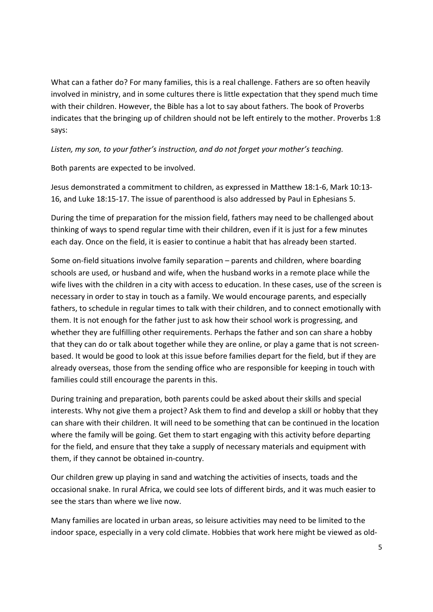What can a father do? For many families, this is a real challenge. Fathers are so often heavily involved in ministry, and in some cultures there is little expectation that they spend much time with their children. However, the Bible has a lot to say about fathers. The book of Proverbs indicates that the bringing up of children should not be left entirely to the mother. Proverbs 1:8 says:

#### Listen, my son, to your father's instruction, and do not forget your mother's teaching.

Both parents are expected to be involved.

Jesus demonstrated a commitment to children, as expressed in Matthew 18:1-6, Mark 10:13- 16, and Luke 18:15-17. The issue of parenthood is also addressed by Paul in Ephesians 5.

During the time of preparation for the mission field, fathers may need to be challenged about thinking of ways to spend regular time with their children, even if it is just for a few minutes each day. Once on the field, it is easier to continue a habit that has already been started.

Some on-field situations involve family separation – parents and children, where boarding schools are used, or husband and wife, when the husband works in a remote place while the wife lives with the children in a city with access to education. In these cases, use of the screen is necessary in order to stay in touch as a family. We would encourage parents, and especially fathers, to schedule in regular times to talk with their children, and to connect emotionally with them. It is not enough for the father just to ask how their school work is progressing, and whether they are fulfilling other requirements. Perhaps the father and son can share a hobby that they can do or talk about together while they are online, or play a game that is not screenbased. It would be good to look at this issue before families depart for the field, but if they are already overseas, those from the sending office who are responsible for keeping in touch with families could still encourage the parents in this.

During training and preparation, both parents could be asked about their skills and special interests. Why not give them a project? Ask them to find and develop a skill or hobby that they can share with their children. It will need to be something that can be continued in the location where the family will be going. Get them to start engaging with this activity before departing for the field, and ensure that they take a supply of necessary materials and equipment with them, if they cannot be obtained in-country.

Our children grew up playing in sand and watching the activities of insects, toads and the occasional snake. In rural Africa, we could see lots of different birds, and it was much easier to see the stars than where we live now.

Many families are located in urban areas, so leisure activities may need to be limited to the indoor space, especially in a very cold climate. Hobbies that work here might be viewed as old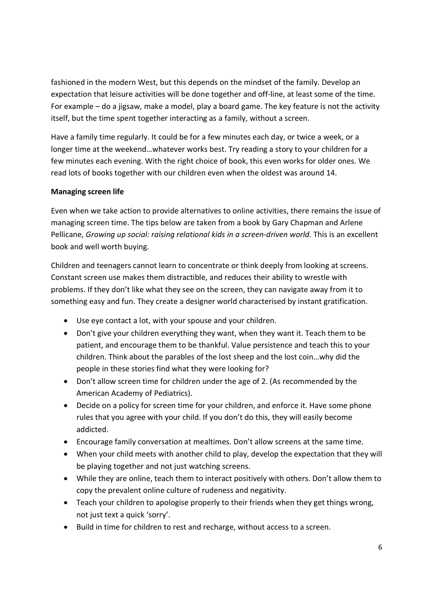fashioned in the modern West, but this depends on the mindset of the family. Develop an expectation that leisure activities will be done together and off-line, at least some of the time. For example – do a jigsaw, make a model, play a board game. The key feature is not the activity itself, but the time spent together interacting as a family, without a screen.

Have a family time regularly. It could be for a few minutes each day, or twice a week, or a longer time at the weekend…whatever works best. Try reading a story to your children for a few minutes each evening. With the right choice of book, this even works for older ones. We read lots of books together with our children even when the oldest was around 14.

#### Managing screen life

Even when we take action to provide alternatives to online activities, there remains the issue of managing screen time. The tips below are taken from a book by Gary Chapman and Arlene Pellicane, Growing up social: raising relational kids in a screen-driven world. This is an excellent book and well worth buying.

Children and teenagers cannot learn to concentrate or think deeply from looking at screens. Constant screen use makes them distractible, and reduces their ability to wrestle with problems. If they don't like what they see on the screen, they can navigate away from it to something easy and fun. They create a designer world characterised by instant gratification.

- Use eye contact a lot, with your spouse and your children.
- Don't give your children everything they want, when they want it. Teach them to be patient, and encourage them to be thankful. Value persistence and teach this to your children. Think about the parables of the lost sheep and the lost coin…why did the people in these stories find what they were looking for?
- Don't allow screen time for children under the age of 2. (As recommended by the American Academy of Pediatrics).
- Decide on a policy for screen time for your children, and enforce it. Have some phone rules that you agree with your child. If you don't do this, they will easily become addicted.
- Encourage family conversation at mealtimes. Don't allow screens at the same time.
- When your child meets with another child to play, develop the expectation that they will be playing together and not just watching screens.
- While they are online, teach them to interact positively with others. Don't allow them to copy the prevalent online culture of rudeness and negativity.
- Teach your children to apologise properly to their friends when they get things wrong, not just text a quick 'sorry'.
- Build in time for children to rest and recharge, without access to a screen.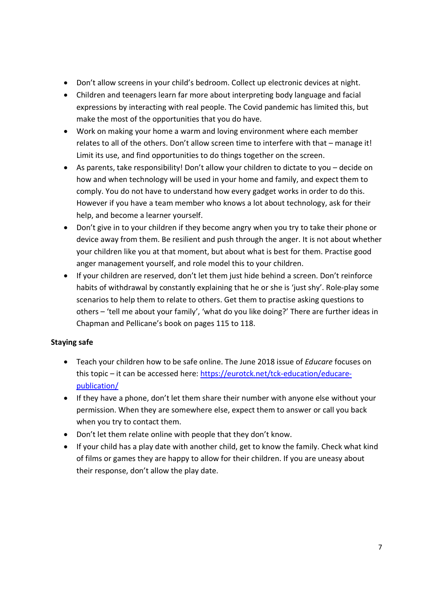- Don't allow screens in your child's bedroom. Collect up electronic devices at night.
- Children and teenagers learn far more about interpreting body language and facial expressions by interacting with real people. The Covid pandemic has limited this, but make the most of the opportunities that you do have.
- Work on making your home a warm and loving environment where each member relates to all of the others. Don't allow screen time to interfere with that – manage it! Limit its use, and find opportunities to do things together on the screen.
- As parents, take responsibility! Don't allow your children to dictate to you decide on how and when technology will be used in your home and family, and expect them to comply. You do not have to understand how every gadget works in order to do this. However if you have a team member who knows a lot about technology, ask for their help, and become a learner yourself.
- Don't give in to your children if they become angry when you try to take their phone or device away from them. Be resilient and push through the anger. It is not about whether your children like you at that moment, but about what is best for them. Practise good anger management yourself, and role model this to your children.
- If your children are reserved, don't let them just hide behind a screen. Don't reinforce habits of withdrawal by constantly explaining that he or she is 'just shy'. Role-play some scenarios to help them to relate to others. Get them to practise asking questions to others – 'tell me about your family', 'what do you like doing?' There are further ideas in Chapman and Pellicane's book on pages 115 to 118.

## Staying safe

- Teach your children how to be safe online. The June 2018 issue of Educare focuses on this topic – it can be accessed here: https://eurotck.net/tck-education/educarepublication/
- If they have a phone, don't let them share their number with anyone else without your permission. When they are somewhere else, expect them to answer or call you back when you try to contact them.
- Don't let them relate online with people that they don't know.
- If your child has a play date with another child, get to know the family. Check what kind of films or games they are happy to allow for their children. If you are uneasy about their response, don't allow the play date.